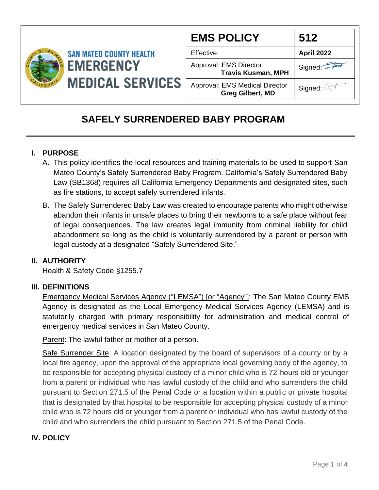

| <b>EMS POLICY</b>                                                | 512        |
|------------------------------------------------------------------|------------|
| Effective:                                                       | April 2022 |
| Approval: EMS Director<br><b>Travis Kusman, MPH</b>              | Signed:    |
| <b>Approval: EMS Medical Director</b><br><b>Greg Gilbert, MD</b> | Signed: A  |

# **SAFELY SURRENDERED BABY PROGRAM**

## **I. PURPOSE**

- A. This policy identifies the local resources and training materials to be used to support San Mateo County's Safely Surrendered Baby Program. California's Safely Surrendered Baby Law (SB1368) requires all California Emergency Departments and designated sites, such as fire stations, to accept safely surrendered infants.
- B. The Safely Surrendered Baby Law was created to encourage parents who might otherwise abandon their infants in unsafe places to bring their newborns to a safe place without fear of legal consequences. The law creates legal immunity from criminal liability for child abandonment so long as the child is voluntarily surrendered by a parent or person with legal custody at a designated "Safely Surrendered Site."

### **II. AUTHORITY**

Health & Safety Code §1255.7

### **III. DEFINITIONS**

Emergency Medical Services Agency ("LEMSA") [or "Agency"]: The San Mateo County EMS Agency is designated as the Local Emergency Medical Services Agency (LEMSA) and is statutorily charged with primary responsibility for administration and medical control of emergency medical services in San Mateo County.

Parent: The lawful father or mother of a person.

Safe Surrender Site: A location designated by the board of supervisors of a county or by a local fire agency, upon the approval of the appropriate local governing body of the agency, to be responsible for accepting physical custody of a minor child who is 72-hours old or younger from a parent or individual who has lawful custody of the child and who surrenders the child pursuant to Section 271.5 of the Penal Code or a location within a public or private hospital that is designated by that hospital to be responsible for accepting physical custody of a minor child who is 72 hours old or younger from a parent or individual who has lawful custody of the child and who surrenders the child pursuant to Section 271.5 of the Penal Code.

### **IV. POLICY**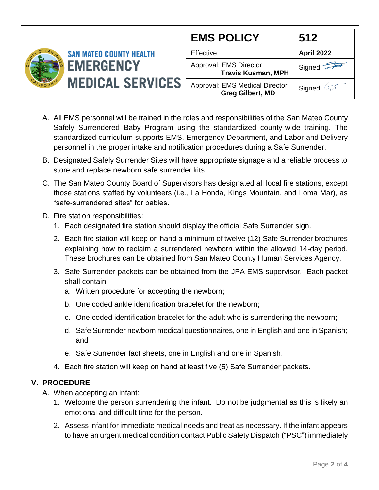

| <b>EMS POLICY</b>                                                | 512        |
|------------------------------------------------------------------|------------|
| Effective:                                                       | April 2022 |
| Approval: EMS Director<br><b>Travis Kusman, MPH</b>              | Signed:    |
| <b>Approval: EMS Medical Director</b><br><b>Greg Gilbert, MD</b> | Signed: A  |

- A. All EMS personnel will be trained in the roles and responsibilities of the San Mateo County Safely Surrendered Baby Program using the standardized county-wide training. The standardized curriculum supports EMS, Emergency Department, and Labor and Delivery personnel in the proper intake and notification procedures during a Safe Surrender.
- B. Designated Safely Surrender Sites will have appropriate signage and a reliable process to store and replace newborn safe surrender kits.
- C. The San Mateo County Board of Supervisors has designated all local fire stations, except those stations staffed by volunteers (i.e., La Honda, Kings Mountain, and Loma Mar), as "safe-surrendered sites" for babies.
- D. Fire station responsibilities:
	- 1. Each designated fire station should display the official Safe Surrender sign.
	- 2. Each fire station will keep on hand a minimum of twelve (12) Safe Surrender brochures explaining how to reclaim a surrendered newborn within the allowed 14-day period. These brochures can be obtained from San Mateo County Human Services Agency.
	- 3. Safe Surrender packets can be obtained from the JPA EMS supervisor. Each packet shall contain:
		- a. Written procedure for accepting the newborn;
		- b. One coded ankle identification bracelet for the newborn;
		- c. One coded identification bracelet for the adult who is surrendering the newborn;
		- d. Safe Surrender newborn medical questionnaires, one in English and one in Spanish; and
		- e. Safe Surrender fact sheets, one in English and one in Spanish.
	- 4. Each fire station will keep on hand at least five (5) Safe Surrender packets.

### **V. PROCEDURE**

- A. When accepting an infant:
	- 1. Welcome the person surrendering the infant. Do not be judgmental as this is likely an emotional and difficult time for the person.
	- 2. Assess infant for immediate medical needs and treat as necessary. If the infant appears to have an urgent medical condition contact Public Safety Dispatch ("PSC") immediately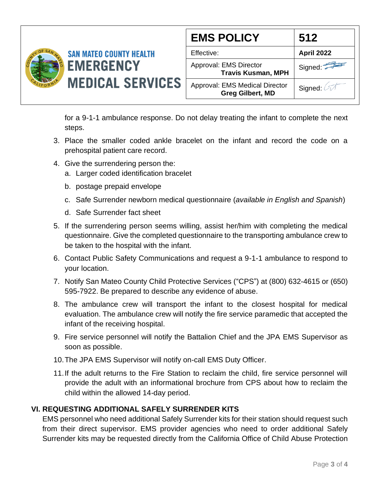

| <b>EMS POLICY</b>                                                | 512               |
|------------------------------------------------------------------|-------------------|
| Effective:                                                       | <b>April 2022</b> |
| Approval: EMS Director<br><b>Travis Kusman, MPH</b>              | Signed:           |
| <b>Approval: EMS Medical Director</b><br><b>Greg Gilbert, MD</b> | Signed: 2         |

for a 9-1-1 ambulance response. Do not delay treating the infant to complete the next steps.

- 3. Place the smaller coded ankle bracelet on the infant and record the code on a prehospital patient care record.
- 4. Give the surrendering person the:
	- a. Larger coded identification bracelet
	- b. postage prepaid envelope
	- c. Safe Surrender newborn medical questionnaire (*available in English and Spanish*)
	- d. Safe Surrender fact sheet
- 5. If the surrendering person seems willing, assist her/him with completing the medical questionnaire. Give the completed questionnaire to the transporting ambulance crew to be taken to the hospital with the infant.
- 6. Contact Public Safety Communications and request a 9-1-1 ambulance to respond to your location.
- 7. Notify San Mateo County Child Protective Services ("CPS") at (800) 632-4615 or (650) 595-7922. Be prepared to describe any evidence of abuse.
- 8. The ambulance crew will transport the infant to the closest hospital for medical evaluation. The ambulance crew will notify the fire service paramedic that accepted the infant of the receiving hospital.
- 9. Fire service personnel will notify the Battalion Chief and the JPA EMS Supervisor as soon as possible.
- 10.The JPA EMS Supervisor will notify on-call EMS Duty Officer.
- 11.If the adult returns to the Fire Station to reclaim the child, fire service personnel will provide the adult with an informational brochure from CPS about how to reclaim the child within the allowed 14-day period.

### **VI. REQUESTING ADDITIONAL SAFELY SURRENDER KITS**

EMS personnel who need additional Safely Surrender kits for their station should request such from their direct supervisor. EMS provider agencies who need to order additional Safely Surrender kits may be requested directly from the California Office of Child Abuse Protection